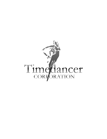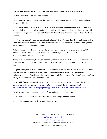### **TIMEDANCER, AN INTERACTIVE CROSS-MEDIA APP, HAS ARRIVED ON WINDOWS PHONE 7**

### **10<sup>h</sup>November 2010 – For immediate release**

Chaos Created is pleased to announce the immediate availability of Timedancer for Windows Phone 7 devices, worldwide.

Timedancer is a new interactive experience which marries the excitement of great episodic television with the thrill of "point and click" gaming. Creators Arivind Abraham and Ali Maggs, have worked with Microsoft to bring a whole new format to the world of mobile entertainment, exclusively on Windows Phone 7.

Set in the near future, Timedancer chronicles the lives of Vivien, Tempus, Ben, Kazuo and Adam, each of whom have their own agendas, but whose fates are intertwined across the fabric of time and space by the mysterious Timedancer Corporation.

Under the guise of developing time travel for philanthropic reasons, the corporation's illusive CEO, Tempus, harbours sinister intentions of his own to eventually monetise and politicise time travel technology for his own profit and means.

Hoping to uncover the truth, Vivien, a timedancer, has gone rogue. With the help of a woman named Kazuo and the alpha timedancer, Adam, she aims to take both Tempus and the Timedancer Corporation down.

The game is designed as a "5-episode season", which has a complete story arc which the user will piece together over the course of the series. Using a combination of live action video, animation and explorative elements, Timedancer brings a whole new level of gaming to the Windows Phone 7 platform, making the most of Windows Phone technologies.

It is available from today through the Windows Phone Marketplace, accessible through the devices (categorized under games > Action and Adventure) and through the Zune desktop client [\(http://social.zune.net/redirect?type=phoneApp&id=f1fb2806-2ad6-df11-a844-00237de2db9e\)](http://social.zune.net/redirect?type=phoneApp&id=f1fb2806-2ad6-df11-a844-00237de2db9e).

We will be making an announcement about future episodes in the near future.

For review copies and press materials, please contact us using our details below.

For more information please visit [www.timedancercorp.com.](http://www.timedancercorp.com/)

For further press enquiries, contact Chaos Created at: [http://www.chaoscreated.com](http://www.chaoscreated.com/) [email@chaoscreated.com](http://www.chaoscreated.com/) 51 Newfoundland Way, Portishead, Bristol, BS20 7FP 0845 299 0714 (+44 845 299 0714)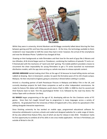

Whilst they were in university, Arivind Abraham and Ali Maggs constantly talked about blurring the lines between gaming and film and how they would execute it. At the time, the technology available to them rendered it near impossible to fulfil the vision they had in mind- however, the arrival of the smartphone and now the Windows Phone 7 platform has changed all that.

Drawing on their backgrounds as indie filmmakers and their love for the work of guys like JJ Abrams and Joss Whedon, Ali & Arivind began work on *Timedancer*, combining the traditions of episodic TV and a scifi themed plot with the mechanics of "point and click" gaming. The mobile platform provided a means to circumvent the sheer impossibility for young filmmakers to get a TV series launched via mainstream distribution models, with the app store serving as a whole new base to release episodic content.

**ARIVIND ABRAHAM** started making short films at the age of 16 because he loved telling stories and was rubbish at drawing. Born in Greenwich, London, he spent the formative years of 4 to 18 in Kuala Lumpur, Malaysia. He then returned to England, going to university in Bristol before settling in London.

Arivind is a founding partner of both Perantauan Pictures in Malaysia and Befour Film in the UK, and currently develops projects for both these companies as well as other independent commissions. He made his feature film debut with Malaysian youth drama *S'kali* in 2006. In 2008 he shot his second and third features back to back- first the psychological thriller *5:13*, followed by the road trip drama *The Joshua Tapes* with co-director Lim Benji.

**ALI MAGGS** began programming at the age of 16, developing add-ons for the *Creatures* series of PC games. Since then he's taught himself how to programme in many languages across a variety of platforms. He graduated from the University of West of England with a first, where he specialised in film editing alongside interactive experiences.

Since finishing university he has worked on mobile apps, programmed educational software for interactive whiteboards in primary schools and coded and designed websites for a wide range of clients. Ali has also edited three feature films, two of which are due for release in late 2010. *Timedancer* marks his first opportunity to combine all of his skills in one cross-media application. He lives in Portishead, just outside of Bristol in the UK.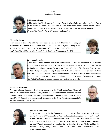# **CAST** *(In alphabetical order)*



## **Ashley Gerlach-** *Ben*

Ashley trained at Manchester Metropolitan University. To date he has featured as Jedda Atkins in *The Bill* and as Denzil in the BBC's *Rock & Chips*. Professional theatre credits include *Naked Soldiers, Mogadishu, Touched* and *Herons,* whilst during training he has also appeared in *Harvest, The Wedding Party, Mary Stuart* and *Gut Girls.*

# **Ffion Jolly-** *Kazuo*

Ffion trained at the Bristol Old Vic. Her theatre credits include Miranda in *The Tempest*, Hermia in *A Midsummer Night's Dream*, Desdemona in *Othello*, Margaret in *Henry VI Part 1*, Julia in *Cock-A-Doodle-Dandy*, *The Ambiguity of Dreams*, *Such Devoted Sisters*, *I-Pod, Do You?*, *Pig In The Middle, Hanging Around, Public Display of Affection* and *The Gift.*





### **John Moraitis-** *Adam*

A native New Yorker, John trained at the Actors Studio and recently performed in *Six Degrees of Separation* at the Old Vic and *A View From the Bridge* on the West End. Other theatre credits include *Julius Caesar, An Enemy of the People, Merchant of Venice, One Flew Over the Cuckoo's Nest, Crocodile Seeking Refuge* and *Welcome to Ramallah.* His extensive TV/film work includes *Law & Order, NYPD Blue* and Channel 4's *NY-LON,* as well as Hollywood features such as *United 93,* Martin Scorsese's *Goodfellas, Booty Call, A Bunch of Amateurs* and *Where The Truth Lies*. John also frequently does radio and voiceover work.

# **Stephen Scott-** *Tempus*

An award-winning stage actor, Stephen has appeared in the West End, the Royal Albert Hall and as a member of the renowned Glasgow Citizens Theatre Company. Stephen's film and television work has included the BAFTA winning *Care* for the BBC, *A Way of Life, Murphy's Law*, *The Bill*, *Casualty* and more recently the drama series *Crash* from the creators of *Life on Mars* and *I Shouldn't Be Alive.*





### **Samantha Tan-** *Vivien*

Born and raised in Malaysia, Samantha graduated with a first class from the London Studio Centre. In 2008 she made her West End debut in the original London cast of *High School Musical*, as well as starring in her first feature film *5:13*. Other work includes *The King & I* at the Royal Albert Hall, *Carmen* at the O2 Arena, the BRIT Awards 2009 and various TV/print commercials including Terry's Chocolate Orange, Virgin Mobile, Sky Movies, Nokia, Sony Bravia and Lush. For more information visit [www.samanthatan.co.uk.](http://www.samanthatan.co.uk/)